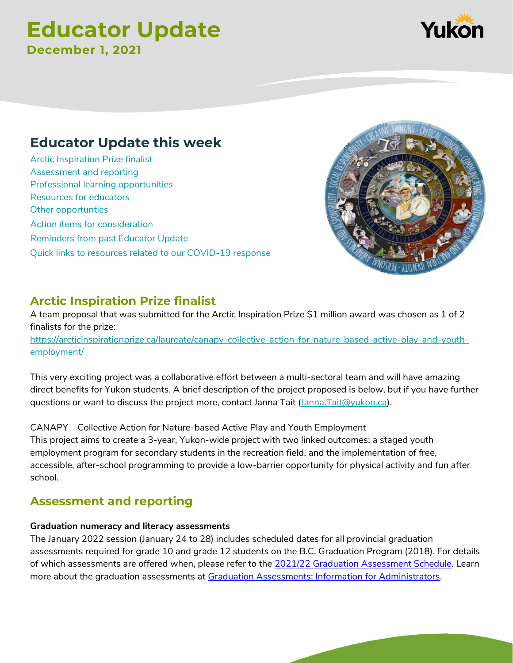# **Educator Update December 1, 2021**



[Arctic Inspiration](#page-0-0) Prize finalist [Assessment and reporting](#page-0-1) [Professional learning opportunities](#page-1-0) [Resources for educators](#page-1-1) [Other opportunties](#page-1-2) [Action items for consideration](#page-2-0) [Reminders from past](#page-2-1) Educator Update [Quick links to resources related to our COVID-19 response](#page-2-2)



### <span id="page-0-0"></span>**Arctic Inspiration Prize finalist**

A team proposal that was submitted for the Arctic Inspiration Prize \$1 million award was chosen as 1 of 2 finalists for the prize: [https://arcticinspirationprize.ca/laureate/canapy-collective-action-for-nature-based-active-play-and-youth](https://arcticinspirationprize.ca/laureate/canapy-collective-action-for-nature-based-active-play-and-youth-employment/)[employment/](https://arcticinspirationprize.ca/laureate/canapy-collective-action-for-nature-based-active-play-and-youth-employment/)

This very exciting project was a collaborative effort between a multi-sectoral team and will have amazing direct benefits for Yukon students. A brief description of the project proposed is below, but if you have further questions or want to discuss the project more, contact Janna Tait [\(Janna.Tait@yukon.ca\)](mailto:Janna.Tait@yukon.ca).

CANAPY – Collective Action for Nature-based Active Play and Youth Employment This project aims to create a 3-year, Yukon-wide project with two linked outcomes: a staged youth employment program for secondary students in the recreation field, and the implementation of free, accessible, after-school programming to provide a low-barrier opportunity for physical activity and fun after school.

# <span id="page-0-1"></span>**Assessment and reporting**

#### **Graduation numeracy and literacy assessments**

The January 2022 session (January 24 to 28) includes scheduled dates for all provincial graduation assessments required for grade 10 and grade 12 students on the B.C. Graduation Program (2018). For details of which assessments are offered when, please refer to the [2021/22 Graduation Assessment Schedul](https://www2.gov.bc.ca/assets/gov/education/administration/kindergarten-to-grade-12/exams/2021-22-graduation-assessment-schedule.pdf)e. Learn more about the graduation assessments at [Graduation Assessments: Information for Administrators.](https://www2.gov.bc.ca/gov/content/education-training/k-12/administration/program-management/assessment/graduation)

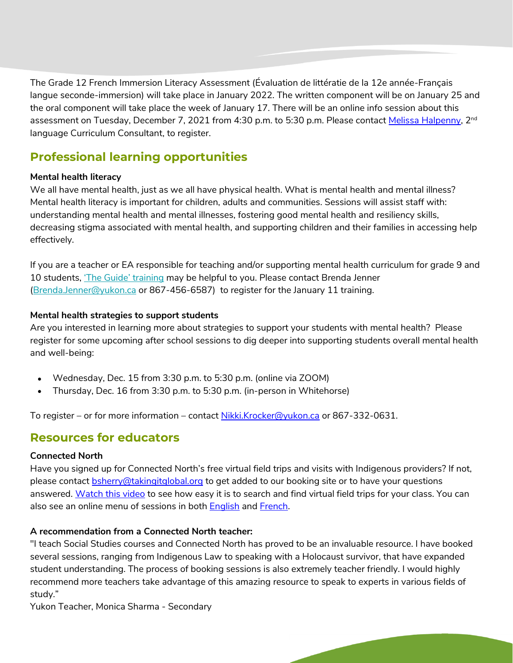The Grade 12 French Immersion Literacy Assessment (Évaluation de littératie de la 12e année-Français langue seconde-immersion) will take place in January 2022. The written component will be on January 25 and the oral component will take place the week of January 17. There will be an online info session about this assessment on Tuesday, December 7, 2021 from 4:30 p.m. to 5:30 p.m. Please contact [Melissa Halpenny,](mailto:melissa.halpenny@yukon.ca) 2<sup>nd</sup> language Curriculum Consultant, to register.

# <span id="page-1-0"></span>**Professional learning opportunities**

#### <span id="page-1-3"></span>**Mental health literacy**

We all have mental health, just as we all have physical health. What is mental health and mental illness? Mental health literacy is important for children, adults and communities. Sessions will assist staff with: understanding mental health and mental illnesses, fostering good mental health and resiliency skills, decreasing stigma associated with mental health, and supporting children and their families in accessing help effectively.

If you are a teacher or EA responsible for teaching and/or supporting mental health curriculum for grade 9 and 10 students, ['The Guide' training](https://mentalhealthliteracy.org/product/mental-health-high-school-curriculum/) may be helpful to you. Please contact Brenda Jenner [\(Brenda.Jenner@yukon.ca](mailto:Brenda.Jenner@yukon.ca) or 867-456-6587) to register for the January 11 training.

#### **Mental health strategies to support students**

Are you interested in learning more about strategies to support your students with mental health? Please register for some upcoming after school sessions to dig deeper into supporting students overall mental health and well-being:

- Wednesday, Dec. 15 from 3:30 p.m. to 5:30 p.m. (online via ZOOM)
- Thursday, Dec. 16 from 3:30 p.m. to 5:30 p.m. (in-person in Whitehorse)

To register – or for more information – contact [Nikki.Krocker@yukon.ca](mailto:Nikki.Krocker@yukon.ca) or 867-332-0631.

### <span id="page-1-1"></span>**Resources for educators**

#### <span id="page-1-2"></span>**Connected North**

Have you signed up for Connected North's free virtual field trips and visits with Indigenous providers? If not, please contact [bsherry@takingitglobal.org](mailto:bsherry@takingitglobal.org) to get added to our booking site or to have your questions answered. [Watch this video](https://drive.google.com/file/d/1gDHNHaU7cSTQWHFZgIik6E2WNow52jgq/view?usp=sharing) to see how easy it is to search and find virtual field trips for your class. You can also see an online menu of sessions in both **[English](https://www.connectednorth.org/menu/) and French**.

#### **A recommendation from a Connected North teacher:**

"I teach Social Studies courses and Connected North has proved to be an invaluable resource. I have booked several sessions, ranging from Indigenous Law to speaking with a Holocaust survivor, that have expanded student understanding. The process of booking sessions is also extremely teacher friendly. I would highly recommend more teachers take advantage of this amazing resource to speak to experts in various fields of study."

Yukon Teacher, Monica Sharma - Secondary